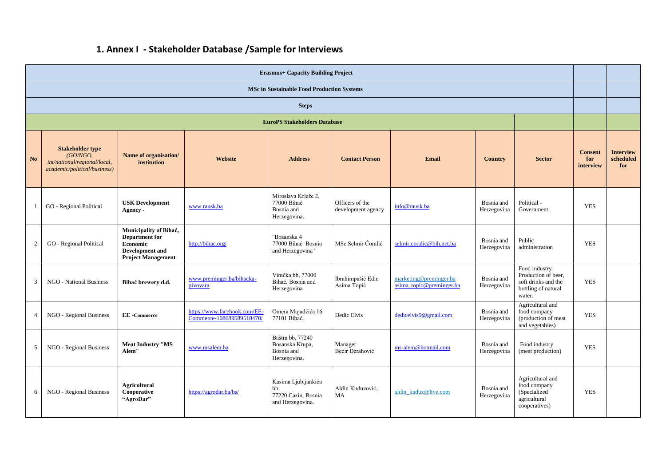## **1. Annex I - Stakeholder Database /Sample for Interviews**

| <b>Erasmus+ Capacity Building Project</b>         |                                                                                                     |                                                                                                                    |                                                           |                                                                      |                                       |                                                    |                           |                                                                                              |                                    |                                      |
|---------------------------------------------------|-----------------------------------------------------------------------------------------------------|--------------------------------------------------------------------------------------------------------------------|-----------------------------------------------------------|----------------------------------------------------------------------|---------------------------------------|----------------------------------------------------|---------------------------|----------------------------------------------------------------------------------------------|------------------------------------|--------------------------------------|
| <b>MSc in Sustainable Food Production Systems</b> |                                                                                                     |                                                                                                                    |                                                           |                                                                      |                                       |                                                    |                           |                                                                                              |                                    |                                      |
| <b>Steps</b>                                      |                                                                                                     |                                                                                                                    |                                                           |                                                                      |                                       |                                                    |                           |                                                                                              |                                    |                                      |
| <b>EuroPS Stakeholders Database</b>               |                                                                                                     |                                                                                                                    |                                                           |                                                                      |                                       |                                                    |                           |                                                                                              |                                    |                                      |
| N <sub>o</sub>                                    | <b>Stakeholder type</b><br>(GO/NGO,<br>int/national/regional/local,<br>academic/political/business) | Name of organisation/<br>institution                                                                               | Website                                                   | <b>Address</b>                                                       | <b>Contact Person</b>                 | <b>Email</b>                                       | Country                   | <b>Sector</b>                                                                                | <b>Consent</b><br>for<br>interview | <b>Interview</b><br>scheduled<br>for |
|                                                   | GO - Regional Political                                                                             | <b>USK Development</b><br>Agency -                                                                                 | www.rausk.ba                                              | Miroslava Krleže 2,<br>77000 Bihać<br>Bosnia and<br>Herzegovina.     | Officers of the<br>development agency | info@rausk.ba                                      | Bosnia and<br>Herzegovina | Political -<br>Government                                                                    | <b>YES</b>                         |                                      |
| $\overline{2}$                                    | GO - Regional Political                                                                             | Municipality of Bihać,<br><b>Department</b> for<br><b>Economic</b><br>Development and<br><b>Project Management</b> | http://bihac.org/                                         | "Bosanska 4<br>77000 Bihać Bosnia<br>and Herzegovina"                | MSc Selmir Coralić                    | selmir.coralic@bih.net.ba                          | Bosnia and<br>Herzegovina | Public<br>administration                                                                     | <b>YES</b>                         |                                      |
| 3                                                 | <b>NGO</b> - National Business                                                                      | Bihać brewery d.d.                                                                                                 | www.preminger.ba/bihacka-<br>pivovara                     | Vinička bb, 77000<br>Bihać, Bosnia and<br>Herzegovina                | Ibrahimpašić Edin<br>Asima Topić      | marketing@preminger.ba<br>asima_topic@preminger.ba | Bosnia and<br>Herzegovina | Food industry<br>Production of beer,<br>soft drinks and the<br>bottling of natural<br>water. | <b>YES</b>                         |                                      |
| $\overline{4}$                                    | NGO - Regional Business                                                                             | <b>EE</b> -Commerce                                                                                                | https://www.facebook.com/EE-<br>Commerce-108689589518470/ | Omera Mujadžića 16<br>77101 Bihać.                                   | Dedic Elvis                           | dedicelvis9@gmail.com                              | Bosnia and<br>Herzegovina | Agricultural and<br>food company<br>(production of meat<br>and vegetables)                   | <b>YES</b>                         |                                      |
| 5                                                 | NGO - Regional Business                                                                             | <b>Meat Industry "MS</b><br>Alem"                                                                                  | www.msalem.ba                                             | Baštra bb, 77240<br>Bosanska Krupa,<br>Bosnia and<br>Herzegovina.    | Manager<br>Bećir Đerahović            | ms-alem@hotmail.com                                | Bosnia and<br>Herzegovina | Food industry<br>(meat production)                                                           | <b>YES</b>                         |                                      |
| 6                                                 | NGO - Regional Business                                                                             | Agricultural<br>Cooperative<br>"AgroDar"                                                                           | https://agrodar.ba/bs/                                    | Kasima Ljubijankića<br>hh<br>77220 Cazin, Bosnia<br>and Herzegovina. | Aldin Kuduzović,<br>MA                | aldin kuduz@live.com                               | Bosnia and<br>Herzegovina | Agricultural and<br>food company<br>(Specialized<br>agricultural<br>cooperatives)            | <b>YES</b>                         |                                      |